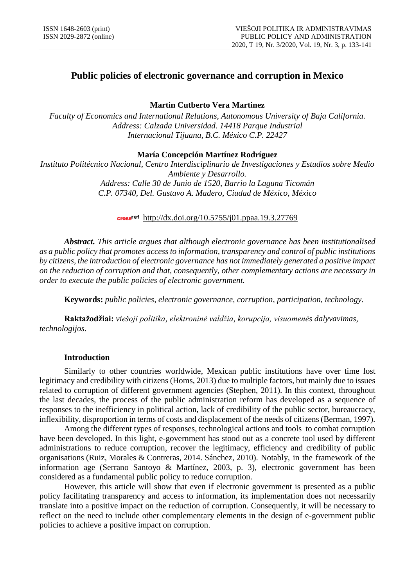# **Public policies of electronic governance and corruption in Mexico**

### **Martin Cutberto Vera Martinez**

*Faculty of Economics and International Relations, Autonomous University of Baja California. Address: Calzada Universidad. 14418 Parque Industrial Internacional Tijuana, B.C. México C.P. 22427*

### **María Concepción Martínez Rodríguez**

*Instituto Politécnico Nacional, Centro Interdisciplinario de Investigaciones y Estudios sobre Medio Ambiente y Desarrollo. Address: Calle 30 de Junio de 1520, Barrio la Laguna Ticomán C.P. 07340, Del. Gustavo A. Madero, Ciudad de México, México*

### cross<sup>ref</sup> http://dx.doi.org/10.5755/j01.ppaa.19.3.27769

*Abstract. This article argues that although electronic governance has been institutionalised as a public policy that promotes access to information, transparency and control of public institutions by citizens, the introduction of electronic governance has not immediately generated a positive impact on the reduction of corruption and that, consequently, other complementary actions are necessary in order to execute the public policies of electronic government.*

**Keywords:** *public policies, electronic governance, corruption, participation, technology.*

**Raktažodžiai:** *viešoji politika, elektroninė valdžia, korupcija, visuomenės dalyvavimas, technologijos.* 

#### **Introduction**

Similarly to other countries worldwide, Mexican public institutions have over time lost legitimacy and credibility with citizens (Homs, 2013) due to multiple factors, but mainly due to issues related to corruption of different government agencies (Stephen, 2011). In this context, throughout the last decades, the process of the public administration reform has developed as a sequence of responses to the inefficiency in political action, lack of credibility of the public sector, bureaucracy, inflexibility, disproportion in terms of costs and displacement of the needs of citizens (Berman, 1997).

Among the different types of responses, technological actions and tools to combat corruption have been developed. In this light, e-government has stood out as a concrete tool used by different administrations to reduce corruption, recover the legitimacy, efficiency and credibility of public organisations (Ruiz, Morales & Contreras, 2014. Sánchez, 2010). Notably, in the framework of the information age (Serrano Santoyo & Martínez, 2003, p. 3), electronic government has been considered as a fundamental public policy to reduce corruption.

However, this article will show that even if electronic government is presented as a public policy facilitating transparency and access to information, its implementation does not necessarily translate into a positive impact on the reduction of corruption. Consequently, it will be necessary to reflect on the need to include other complementary elements in the design of e-government public policies to achieve a positive impact on corruption.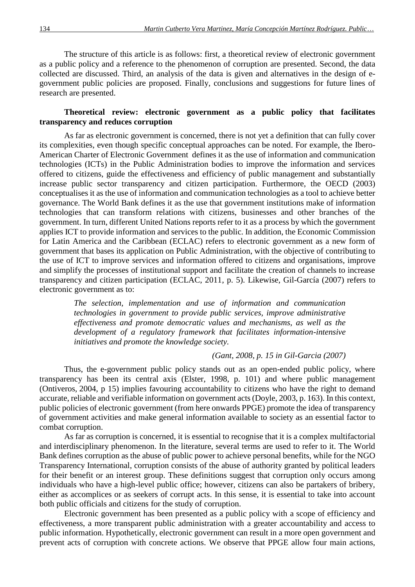The structure of this article is as follows: first, a theoretical review of electronic government as a public policy and a reference to the phenomenon of corruption are presented. Second, the data collected are discussed. Third, an analysis of the data is given and alternatives in the design of egovernment public policies are proposed. Finally, conclusions and suggestions for future lines of research are presented.

### **Theoretical review: electronic government as a public policy that facilitates transparency and reduces corruption**

As far as electronic government is concerned, there is not yet a definition that can fully cover its complexities, even though specific conceptual approaches can be noted. For example, the Ibero-American Charter of Electronic Government defines it as the use of information and communication technologies (ICTs) in the Public Administration bodies to improve the information and services offered to citizens, guide the effectiveness and efficiency of public management and substantially increase public sector transparency and citizen participation. Furthermore, the OECD (2003) conceptualises it as the use of information and communication technologies as a tool to achieve better governance. The World Bank defines it as the use that government institutions make of information technologies that can transform relations with citizens, businesses and other branches of the government. In turn, different United Nations reports refer to it as a process by which the government applies ICT to provide information and services to the public. In addition, the Economic Commission for Latin America and the Caribbean (ECLAC) refers to electronic government as a new form of government that bases its application on Public Administration, with the objective of contributing to the use of ICT to improve services and information offered to citizens and organisations, improve and simplify the processes of institutional support and facilitate the creation of channels to increase transparency and citizen participation (ECLAC, 2011, p. 5). Likewise, Gil-García (2007) refers to electronic government as to:

> *The selection, implementation and use of information and communication technologies in government to provide public services, improve administrative effectiveness and promote democratic values and mechanisms, as well as the development of a regulatory framework that facilitates information-intensive initiatives and promote the knowledge society.*

### *(Gant, 2008, p. 15 in Gil-Garcia (2007)*

Thus, the e-government public policy stands out as an open-ended public policy, where transparency has been its central axis (Elster, 1998, p. 101) and where public management (Ontiveros, 2004, p 15) implies favouring accountability to citizens who have the right to demand accurate, reliable and verifiable information on government acts (Doyle, 2003, p. 163). In this context, public policies of electronic government (from here onwards PPGE) promote the idea of transparency of government activities and make general information available to society as an essential factor to combat corruption.

As far as corruption is concerned, it is essential to recognise that it is a complex multifactorial and interdisciplinary phenomenon. In the literature, several terms are used to refer to it. The World Bank defines corruption as the abuse of public power to achieve personal benefits, while for the NGO Transparency International, corruption consists of the abuse of authority granted by political leaders for their benefit or an interest group. These definitions suggest that corruption only occurs among individuals who have a high-level public office; however, citizens can also be partakers of bribery, either as accomplices or as seekers of corrupt acts. In this sense, it is essential to take into account both public officials and citizens for the study of corruption.

Electronic government has been presented as a public policy with a scope of efficiency and effectiveness, a more transparent public administration with a greater accountability and access to public information. Hypothetically, electronic government can result in a more open government and prevent acts of corruption with concrete actions. We observe that PPGE allow four main actions,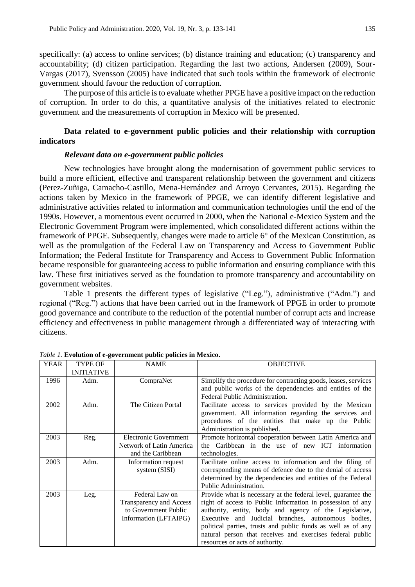specifically: (a) access to online services; (b) distance training and education; (c) transparency and accountability; (d) citizen participation. Regarding the last two actions, Andersen (2009), Sour-Vargas (2017), Svensson (2005) have indicated that such tools within the framework of electronic government should favour the reduction of corruption.

The purpose of this article is to evaluate whether PPGE have a positive impact on the reduction of corruption. In order to do this, a quantitative analysis of the initiatives related to electronic government and the measurements of corruption in Mexico will be presented.

### **Data related to e-government public policies and their relationship with corruption indicators**

#### *Relevant data on e-government public policies*

New technologies have brought along the modernisation of government public services to build a more efficient, effective and transparent relationship between the government and citizens (Perez-Zuñiga, Camacho-Castillo, Mena-Hernández and Arroyo Cervantes, 2015). Regarding the actions taken by Mexico in the framework of PPGE, we can identify different legislative and administrative activities related to information and communication technologies until the end of the 1990s. However, a momentous event occurred in 2000, when the National e-Mexico System and the Electronic Government Program were implemented, which consolidated different actions within the framework of PPGE. Subsequently, changes were made to article 6° of the Mexican Constitution, as well as the promulgation of the Federal Law on Transparency and Access to Government Public Information; the Federal Institute for Transparency and Access to Government Public Information became responsible for guaranteeing access to public information and ensuring compliance with this law. These first initiatives served as the foundation to promote transparency and accountability on government websites.

Table 1 presents the different types of legislative ("Leg."), administrative ("Adm.") and regional ("Reg.") actions that have been carried out in the framework of PPGE in order to promote good governance and contribute to the reduction of the potential number of corrupt acts and increase efficiency and effectiveness in public management through a differentiated way of interacting with citizens.

| <b>YEAR</b> | TYPE OF<br><b>INITIATIVE</b> | <b>NAME</b>                                                                                | <b>OBJECTIVE</b>                                                                                                                                                                                                                                                                                                                                                                                             |
|-------------|------------------------------|--------------------------------------------------------------------------------------------|--------------------------------------------------------------------------------------------------------------------------------------------------------------------------------------------------------------------------------------------------------------------------------------------------------------------------------------------------------------------------------------------------------------|
| 1996        | Adm.                         | CompraNet                                                                                  | Simplify the procedure for contracting goods, leases, services<br>and public works of the dependencies and entities of the<br>Federal Public Administration.                                                                                                                                                                                                                                                 |
| 2002        | Adm.                         | The Citizen Portal                                                                         | Facilitate access to services provided by the Mexican<br>government. All information regarding the services and<br>procedures of the entities that make up the Public<br>Administration is published.                                                                                                                                                                                                        |
| 2003        | Reg.                         | Electronic Government<br>Network of Latin America<br>and the Caribbean                     | Promote horizontal cooperation between Latin America and<br>the Caribbean in the use of new ICT information<br>technologies.                                                                                                                                                                                                                                                                                 |
| 2003        | Adm.                         | Information request<br>system (SISI)                                                       | Facilitate online access to information and the filing of<br>corresponding means of defence due to the denial of access<br>determined by the dependencies and entities of the Federal<br>Public Administration.                                                                                                                                                                                              |
| 2003        | Leg.                         | Federal Law on<br>Transparency and Access<br>to Government Public<br>Information (LFTAIPG) | Provide what is necessary at the federal level, guarantee the<br>right of access to Public Information in possession of any<br>authority, entity, body and agency of the Legislative,<br>Executive and Judicial branches, autonomous bodies,<br>political parties, trusts and public funds as well as of any<br>natural person that receives and exercises federal public<br>resources or acts of authority. |

*Table 1.* **Evolution of e-government public policies in Mexico.**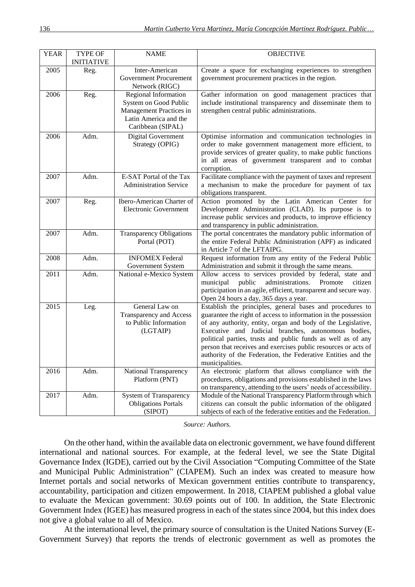| <b>YEAR</b> | <b>TYPE OF</b><br><b>INITIATIVE</b> | <b>NAME</b>                                                                                                                   | <b>OBJECTIVE</b>                                                                                                                                                                                                                                                                                                                                                                                                                                                        |
|-------------|-------------------------------------|-------------------------------------------------------------------------------------------------------------------------------|-------------------------------------------------------------------------------------------------------------------------------------------------------------------------------------------------------------------------------------------------------------------------------------------------------------------------------------------------------------------------------------------------------------------------------------------------------------------------|
| 2005        | Reg.                                | Inter-American<br><b>Government Procurement</b><br>Network (RIGC)                                                             | Create a space for exchanging experiences to strengthen<br>government procurement practices in the region.                                                                                                                                                                                                                                                                                                                                                              |
| 2006        | Reg.                                | <b>Regional Information</b><br>System on Good Public<br>Management Practices in<br>Latin America and the<br>Caribbean (SIPAL) | Gather information on good management practices that<br>include institutional transparency and disseminate them to<br>strengthen central public administrations.                                                                                                                                                                                                                                                                                                        |
| 2006        | Adm.                                | Digital Government<br>Strategy (OPIG)                                                                                         | Optimise information and communication technologies in<br>order to make government management more efficient, to<br>provide services of greater quality, to make public functions<br>in all areas of government transparent and to combat<br>corruption.                                                                                                                                                                                                                |
| 2007        | Adm.                                | E-SAT Portal of the Tax<br><b>Administration Service</b>                                                                      | Facilitate compliance with the payment of taxes and represent<br>a mechanism to make the procedure for payment of tax<br>obligations transparent.                                                                                                                                                                                                                                                                                                                       |
| 2007        | Reg.                                | Ibero-American Charter of<br><b>Electronic Government</b>                                                                     | Action promoted by the Latin American Center for<br>Development Administration (CLAD). Its purpose is to<br>increase public services and products, to improve efficiency<br>and transparency in public administration.                                                                                                                                                                                                                                                  |
| 2007        | Adm.                                | <b>Transparency Obligations</b><br>Portal (POT)                                                                               | The portal concentrates the mandatory public information of<br>the entire Federal Public Administration (APF) as indicated<br>in Article 7 of the LFTAIPG.                                                                                                                                                                                                                                                                                                              |
| 2008        | Adm.                                | <b>INFOMEX Federal</b><br>Government System                                                                                   | Request information from any entity of the Federal Public<br>Administration and submit it through the same means.                                                                                                                                                                                                                                                                                                                                                       |
| 2011        | Adm.                                | National e-Mexico System                                                                                                      | Allow access to services provided by federal, state and<br>public<br>administrations.<br>Promote<br>citizen<br>municipal<br>participation in an agile, efficient, transparent and secure way.<br>Open 24 hours a day, 365 days a year.                                                                                                                                                                                                                                  |
| 2015        | Leg.                                | General Law on<br>Transparency and Access<br>to Public Information<br>(LGTAIP)                                                | Establish the principles, general bases and procedures to<br>guarantee the right of access to information in the possession<br>of any authority, entity, organ and body of the Legislative,<br>Executive and Judicial branches, autonomous bodies,<br>political parties, trusts and public funds as well as of any<br>person that receives and exercises public resources or acts of<br>authority of the Federation, the Federative Entities and the<br>municipalities. |
| 2016        | Adm.                                | National Transparency<br>Platform (PNT)                                                                                       | An electronic platform that allows compliance with the<br>procedures, obligations and provisions established in the laws<br>on transparency, attending to the users' needs of accessibility.                                                                                                                                                                                                                                                                            |
| 2017        | Adm.                                | <b>System of Transparency</b><br><b>Obligations Portals</b><br>(SIPOT)                                                        | Module of the National Transparency Platform through which<br>citizens can consult the public information of the obligated<br>subjects of each of the federative entities and the Federation.                                                                                                                                                                                                                                                                           |

*Source: Authors.* 

On the other hand, within the available data on electronic government, we have found different international and national sources. For example, at the federal level, we see the State Digital Governance Index (IGDE), carried out by the Civil Association "Computing Committee of the State and Municipal Public Administration" (CIAPEM). Such an index was created to measure how Internet portals and social networks of Mexican government entities contribute to transparency, accountability, participation and citizen empowerment. In 2018, CIAPEM published a global value to evaluate the Mexican government: 30.69 points out of 100. In addition, the State Electronic Government Index (IGEE) has measured progress in each of the states since 2004, but this index does not give a global value to all of Mexico.

At the international level, the primary source of consultation is the United Nations Survey (E-Government Survey) that reports the trends of electronic government as well as promotes the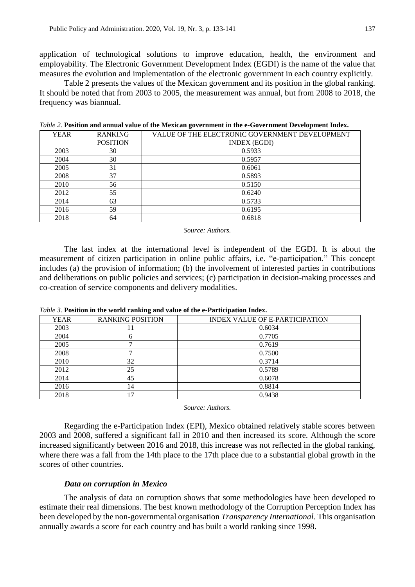application of technological solutions to improve education, health, the environment and employability. The Electronic Government Development Index (EGDI) is the name of the value that measures the evolution and implementation of the electronic government in each country explicitly.

Table 2 presents the values of the Mexican government and its position in the global ranking. It should be noted that from 2003 to 2005, the measurement was annual, but from 2008 to 2018, the frequency was biannual.

|             |                 | ີ                                              |
|-------------|-----------------|------------------------------------------------|
| <b>YEAR</b> | <b>RANKING</b>  | VALUE OF THE ELECTRONIC GOVERNMENT DEVELOPMENT |
|             | <b>POSITION</b> | <b>INDEX (EGDI)</b>                            |
| 2003        | 30              | 0.5933                                         |
| 2004        | 30              | 0.5957                                         |
| 2005        | 31              | 0.6061                                         |
| 2008        | 37              | 0.5893                                         |
| 2010        | 56              | 0.5150                                         |
| 2012        | 55              | 0.6240                                         |
| 2014        | 63              | 0.5733                                         |
| 2016        | 59              | 0.6195                                         |
| 2018        | 64              | 0.6818                                         |

*Table 2.* **Position and annual value of the Mexican government in the e-Government Development Index.**

*Source: Authors.* 

The last index at the international level is independent of the EGDI. It is about the measurement of citizen participation in online public affairs, i.e. "e-participation." This concept includes (a) the provision of information; (b) the involvement of interested parties in contributions and deliberations on public policies and services; (c) participation in decision-making processes and co-creation of service components and delivery modalities.

| <b>YEAR</b> | <b>RANKING POSITION</b> | <b>INDEX VALUE OF E-PARTICIPATION</b> |
|-------------|-------------------------|---------------------------------------|
| 2003        |                         | 0.6034                                |
| 2004        |                         | 0.7705                                |
| 2005        |                         | 0.7619                                |
| 2008        |                         | 0.7500                                |
| 2010        | 32                      | 0.3714                                |
| 2012        | 25                      | 0.5789                                |
| 2014        | 45                      | 0.6078                                |
| 2016        | 14                      | 0.8814                                |
| 2018        | ╶                       | 0.9438                                |

*Table 3.* **Position in the world ranking and value of the e-Participation Index.**

*Source: Authors.* 

Regarding the e-Participation Index (EPI), Mexico obtained relatively stable scores between 2003 and 2008, suffered a significant fall in 2010 and then increased its score. Although the score increased significantly between 2016 and 2018, this increase was not reflected in the global ranking, where there was a fall from the 14th place to the 17th place due to a substantial global growth in the scores of other countries.

#### *Data on corruption in Mexico*

The analysis of data on corruption shows that some methodologies have been developed to estimate their real dimensions. The best known methodology of the Corruption Perception Index has been developed by the non-governmental organisation *Transparency International*. This organisation annually awards a score for each country and has built a world ranking since 1998.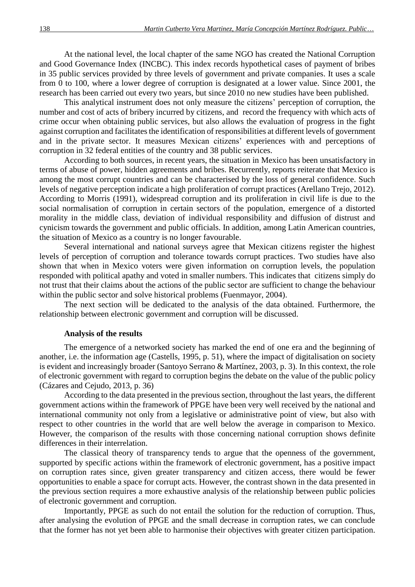At the national level, the local chapter of the same NGO has created the National Corruption and Good Governance Index (INCBC). This index records hypothetical cases of payment of bribes in 35 public services provided by three levels of government and private companies. It uses a scale from 0 to 100, where a lower degree of corruption is designated at a lower value. Since 2001, the research has been carried out every two years, but since 2010 no new studies have been published.

This analytical instrument does not only measure the citizens' perception of corruption, the number and cost of acts of bribery incurred by citizens, and record the frequency with which acts of crime occur when obtaining public services, but also allows the evaluation of progress in the fight against corruption and facilitates the identification of responsibilities at different levels of government and in the private sector. It measures Mexican citizens' experiences with and perceptions of corruption in 32 federal entities of the country and 38 public services.

According to both sources, in recent years, the situation in Mexico has been unsatisfactory in terms of abuse of power, hidden agreements and bribes. Recurrently, reports reiterate that Mexico is among the most corrupt countries and can be characterised by the loss of general confidence. Such levels of negative perception indicate a high proliferation of corrupt practices (Arellano Trejo, 2012). According to Morris (1991), widespread corruption and its proliferation in civil life is due to the social normalisation of corruption in certain sectors of the population, emergence of a distorted morality in the middle class, deviation of individual responsibility and diffusion of distrust and cynicism towards the government and public officials. In addition, among Latin American countries, the situation of Mexico as a country is no longer favourable.

Several international and national surveys agree that Mexican citizens register the highest levels of perception of corruption and tolerance towards corrupt practices. Two studies have also shown that when in Mexico voters were given information on corruption levels, the population responded with political apathy and voted in smaller numbers. This indicates that citizens simply do not trust that their claims about the actions of the public sector are sufficient to change the behaviour within the public sector and solve historical problems (Fuenmayor, 2004).

The next section will be dedicated to the analysis of the data obtained. Furthermore, the relationship between electronic government and corruption will be discussed.

#### **Analysis of the results**

The emergence of a networked society has marked the end of one era and the beginning of another, i.e. the information age (Castells, 1995, p. 51), where the impact of digitalisation on society is evident and increasingly broader (Santoyo Serrano & Martínez, 2003, p. 3). In this context, the role of electronic government with regard to corruption begins the debate on the value of the public policy (Cázares and Cejudo, 2013, p. 36)

According to the data presented in the previous section, throughout the last years, the different government actions within the framework of PPGE have been very well received by the national and international community not only from a legislative or administrative point of view, but also with respect to other countries in the world that are well below the average in comparison to Mexico. However, the comparison of the results with those concerning national corruption shows definite differences in their interrelation.

The classical theory of transparency tends to argue that the openness of the government, supported by specific actions within the framework of electronic government, has a positive impact on corruption rates since, given greater transparency and citizen access, there would be fewer opportunities to enable a space for corrupt acts. However, the contrast shown in the data presented in the previous section requires a more exhaustive analysis of the relationship between public policies of electronic government and corruption.

Importantly, PPGE as such do not entail the solution for the reduction of corruption. Thus, after analysing the evolution of PPGE and the small decrease in corruption rates, we can conclude that the former has not yet been able to harmonise their objectives with greater citizen participation.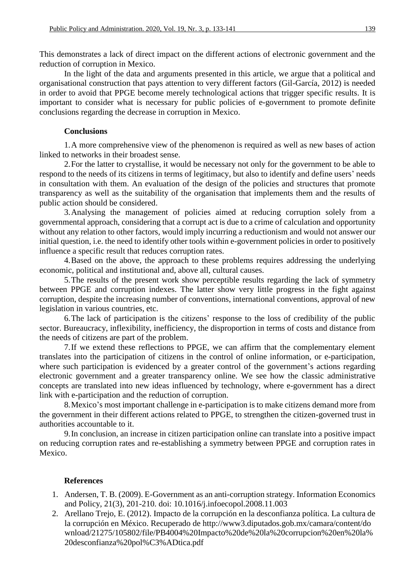This demonstrates a lack of direct impact on the different actions of electronic government and the reduction of corruption in Mexico.

In the light of the data and arguments presented in this article, we argue that a political and organisational construction that pays attention to very different factors (Gil-García, 2012) is needed in order to avoid that PPGE become merely technological actions that trigger specific results. It is important to consider what is necessary for public policies of e-government to promote definite conclusions regarding the decrease in corruption in Mexico.

#### **Conclusions**

1.A more comprehensive view of the phenomenon is required as well as new bases of action linked to networks in their broadest sense.

2.For the latter to crystallise, it would be necessary not only for the government to be able to respond to the needs of its citizens in terms of legitimacy, but also to identify and define users' needs in consultation with them. An evaluation of the design of the policies and structures that promote transparency as well as the suitability of the organisation that implements them and the results of public action should be considered.

3.Analysing the management of policies aimed at reducing corruption solely from a governmental approach, considering that a corrupt act is due to a crime of calculation and opportunity without any relation to other factors, would imply incurring a reductionism and would not answer our initial question, i.e. the need to identify other tools within e-government policies in order to positively influence a specific result that reduces corruption rates.

4.Based on the above, the approach to these problems requires addressing the underlying economic, political and institutional and, above all, cultural causes.

5.The results of the present work show perceptible results regarding the lack of symmetry between PPGE and corruption indexes. The latter show very little progress in the fight against corruption, despite the increasing number of conventions, international conventions, approval of new legislation in various countries, etc.

6.The lack of participation is the citizens' response to the loss of credibility of the public sector. Bureaucracy, inflexibility, inefficiency, the disproportion in terms of costs and distance from the needs of citizens are part of the problem.

7.If we extend these reflections to PPGE, we can affirm that the complementary element translates into the participation of citizens in the control of online information, or e-participation, where such participation is evidenced by a greater control of the government's actions regarding electronic government and a greater transparency online. We see how the classic administrative concepts are translated into new ideas influenced by technology, where e-government has a direct link with e-participation and the reduction of corruption.

8.Mexico's most important challenge in e-participation is to make citizens demand more from the government in their different actions related to PPGE, to strengthen the citizen-governed trust in authorities accountable to it.

9.In conclusion, an increase in citizen participation online can translate into a positive impact on reducing corruption rates and re-establishing a symmetry between PPGE and corruption rates in Mexico.

#### **References**

- 1. Andersen, T. B. (2009). E-Government as an anti-corruption strategy. Information Economics and Policy, 21(3), 201-210. doi: 10.1016/j.infoecopol.2008.11.003
- 2. Arellano Trejo, E. (2012). Impacto de la corrupción en la desconfianza política. La cultura de la corrupción en México. Recuperado de http://www3.diputados.gob.mx/camara/content/do wnload/21275/105802/file/PB4004%20Impacto%20de%20la%20corrupcion%20en%20la% 20desconfianza%20pol%C3%ADtica.pdf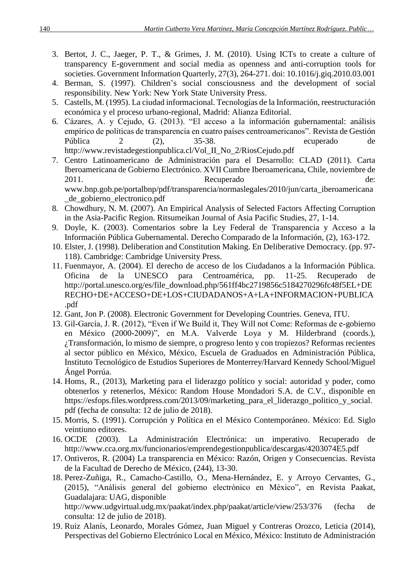- 3. Bertot, J. C., Jaeger, P. T., & Grimes, J. M. (2010). Using ICTs to create a culture of transparency E-government and social media as openness and anti-corruption tools for societies. Government Information Quarterly, 27(3), 264-271. doi: 10.1016/j.giq.2010.03.001
- 4. Berman, S. (1997). Children's social consciousness and the development of social responsibility. New York: New York State University Press.
- 5. Castells, M. (1995). La ciudad informacional. Tecnologías de la Información, reestructuración económica y el proceso urbano-regional, Madrid: Alianza Editorial.
- 6. Cázares, A. y Cejudo, G. (2013). "El acceso a la información gubernamental: análisis empírico de políticas de transparencia en cuatro países centroamericanos". Revista de Gestión Pública 2 (2), 35-38. ecuperado de http://www.revistadegestionpublica.cl/Vol\_II\_No\_2/RiosCejudo.pdf
- 7. Centro Latinoamericano de Administración para el Desarrollo: CLAD (2011). Carta Iberoamericana de Gobierno Electrónico. XVII Cumbre Iberoamericana, Chile, noviembre de 2011. Recuperado de: www.bnp.gob.pe/portalbnp/pdf/transparencia/normaslegales/2010/jun/carta\_iberoamericana \_de\_gobierno\_electronico.pdf
- 8. Chowdhury, N. M. (2007). An Empirical Analysis of Selected Factors Affecting Corruption in the Asia-Pacific Region. Ritsumeikan Journal of Asia Pacific Studies, 27, 1-14.
- 9. Doyle, K. (2003). Comentarios sobre la Ley Federal de Transparencia y Acceso a la Información Pública Gubernamental. Derecho Comparado de la Información, (2), 163-172.
- 10. Elster, J. (1998). Deliberation and Constitution Making. En Deliberative Democracy. (pp. 97- 118). Cambridge: Cambridge University Press.
- 11. Fuenmayor, A. (2004). El derecho de acceso de los Ciudadanos a la Información Pública. Oficina de la UNESCO para Centroamérica, pp. 11-25. Recuperado de http://portal.unesco.org/es/file\_download.php/561ff4bc2719856c5184270296fc48f5EL+DE RECHO+DE+ACCESO+DE+LOS+CIUDADANOS+A+LA+INFORMACION+PUBLICA .pdf
- 12. Gant, Jon P. (2008). Electronic Government for Developing Countries. Geneva, ITU.
- 13. Gil-García, J. R. (2012), "Even if We Build it, They Will not Come: Reformas de e-gobierno en México (2000-2009)", en M.A. Valverde Loya y M. Hilderbrand (coords.), ¿Transformación, lo mismo de siempre, o progreso lento y con tropiezos? Reformas recientes al sector público en México, México, Escuela de Graduados en Administración Pública, Instituto Tecnológico de Estudios Superiores de Monterrey/Harvard Kennedy School/Miguel Ángel Porrúa.
- 14. Homs, R., (2013), Marketing para el liderazgo político y social: autoridad y poder, como obtenerlos y retenerlos, México: Random House Mondadori S.A. de C.V., disponible en https://esfops.files.wordpress.com/2013/09/marketing\_para\_el\_liderazgo\_politico\_y\_social. pdf (fecha de consulta: 12 de julio de 2018).
- 15. Morris, S. (1991). Corrupción y Política en el México Contemporáneo. México: Ed. Siglo veintiuno editores.
- 16. OCDE (2003). La Administración Electrónica: un imperativo. Recuperado de http://www.cca.org.mx/funcionarios/emprendegestionpublica/descargas/4203074E5.pdf
- 17. Ontiveros, R. (2004) La transparencia en México: Razón, Origen y Consecuencias. Revista de la Facultad de Derecho de México, (244), 13-30.
- 18. Perez-Zuñiga, R., Camacho-Castillo, O., Mena-Hernández, E. y Arroyo Cervantes, G., (2015), "Análisis general del gobierno electrónico en México", en Revista Paakat, Guadalajara: UAG, disponible http://www.udgvirtual.udg.mx/paakat/index.php/paakat/article/view/253/376 (fecha de
- consulta: 12 de julio de 2018). 19. Ruiz Alanís, Leonardo, Morales Gómez, Juan Miguel y Contreras Orozco, Leticia (2014),
- Perspectivas del Gobierno Electrónico Local en México, México: Instituto de Administración